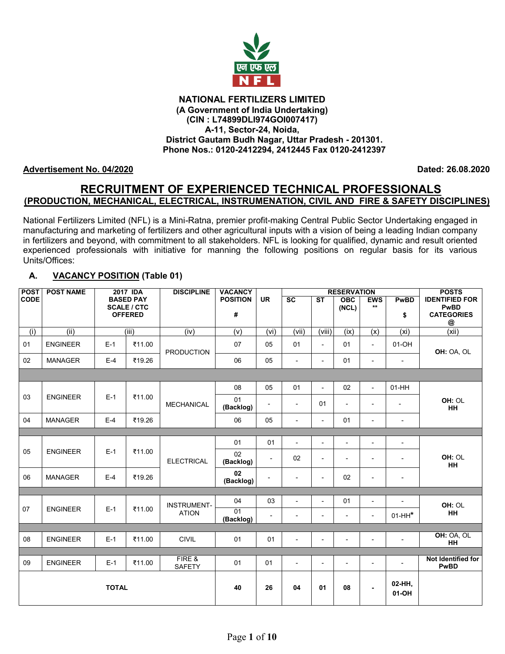

#### **NATIONAL FERTILIZERS LIMITED (A Government of India Undertaking) (CIN : L74899DLI974GOI007417) A-11, Sector-24, Noida, District Gautam Budh Nagar, Uttar Pradesh - 201301. Phone Nos.: 0120-2412294, 2412445 Fax 0120-2412397**

### **Advertisement No. 04/2020 Dated: 26.08.2020**

# **RECRUITMENT OF EXPERIENCED TECHNICAL PROFESSIONALS (PRODUCTION, MECHANICAL, ELECTRICAL, INSTRUMENATION, CIVIL AND FIRE & SAFETY DISCIPLINES)**

National Fertilizers Limited (NFL) is a Mini-Ratna, premier profit-making Central Public Sector Undertaking engaged in manufacturing and marketing of fertilizers and other agricultural inputs with a vision of being a leading Indian company in fertilizers and beyond, with commitment to all stakeholders. NFL is looking for qualified, dynamic and result oriented experienced professionals with initiative for manning the following positions on regular basis for its various Units/Offices:

# **A. VACANCY POSITION (Table 01)**

| <b>POST</b> | <b>POST NAME</b> | 2017 IDA     |                                      | <b>DISCIPLINE</b>       | <b>VACANCY</b>  |                          |                          | <b>RESERVATION</b>                   |                          |                          |                          | <b>POSTS</b>                      |
|-------------|------------------|--------------|--------------------------------------|-------------------------|-----------------|--------------------------|--------------------------|--------------------------------------|--------------------------|--------------------------|--------------------------|-----------------------------------|
| <b>CODE</b> |                  |              | <b>BASED PAY</b>                     |                         | <b>POSITION</b> | <b>UR</b>                | SC                       | $\overline{\mathsf{S}^{\mathsf{T}}}$ | OBC                      | <b>EWS</b><br>$**$       | <b>PwBD</b>              | <b>IDENTIFIED FOR</b>             |
|             |                  |              | <b>SCALE / CTC</b><br><b>OFFERED</b> |                         | #               |                          |                          |                                      | (NCL)                    |                          | \$                       | PwBD<br><b>CATEGORIES</b>         |
|             |                  |              |                                      |                         |                 |                          |                          |                                      |                          |                          |                          | @                                 |
| (i)         | (iii)            |              | (iii)                                | (iv)                    | (v)             | (vi)                     | (vii)                    | (viii)                               | (ix)                     | (x)                      | (xi)                     | (xii)                             |
| 01          | <b>ENGINEER</b>  | $E-1$        | ₹11.00                               | <b>PRODUCTION</b>       | 07              | 05                       | 01                       | $\blacksquare$                       | 01                       | $\blacksquare$           | 01-OH                    | OH: OA, OL                        |
| 02          | <b>MANAGER</b>   | $E-4$        | ₹19.26                               |                         | 06              | 05                       | $\overline{a}$           | $\blacksquare$                       | 01                       | $\overline{a}$           | $\blacksquare$           |                                   |
|             |                  |              |                                      |                         |                 |                          |                          |                                      |                          |                          |                          |                                   |
|             |                  |              |                                      |                         | 08              | 05                       | 01                       | $\sim$                               | 02                       | $\sim$                   | $01-HH$                  |                                   |
| 03          | <b>ENGINEER</b>  | $E-1$        | ₹11.00                               | <b>MECHANICAL</b>       | 01<br>(Backlog) | $\overline{a}$           | $\blacksquare$           | 01                                   |                          | $\overline{a}$           | $\overline{a}$           | OH: OL<br><b>HH</b>               |
| 04          | <b>MANAGER</b>   | $E-4$        | ₹19.26                               |                         | 06              | 05                       | $\overline{\phantom{0}}$ | $\blacksquare$                       | 01                       | $\blacksquare$           | $\overline{\phantom{a}}$ |                                   |
|             |                  |              |                                      |                         |                 |                          |                          |                                      |                          |                          |                          |                                   |
|             |                  |              |                                      |                         | 01              | 01                       | $\blacksquare$           | $\blacksquare$                       | $\blacksquare$           | $\blacksquare$           | $\blacksquare$           |                                   |
| 05          | <b>ENGINEER</b>  | $E-1$        | ₹11.00                               | <b>ELECTRICAL</b>       | 02<br>(Backlog) | $\sim$                   | 02                       | $\blacksquare$                       |                          | $\blacksquare$           | $\blacksquare$           | OH: OL<br><b>HH</b>               |
| 06          | <b>MANAGER</b>   | $E-4$        | ₹19.26                               |                         | 02<br>(Backlog) | $\overline{\phantom{a}}$ | $\overline{\phantom{a}}$ | $\overline{\phantom{a}}$             | 02                       | $\overline{\phantom{a}}$ | $\overline{\phantom{a}}$ |                                   |
|             |                  |              |                                      |                         |                 |                          |                          |                                      |                          |                          |                          |                                   |
|             |                  |              |                                      | <b>INSTRUMENT-</b>      | 04              | 03                       | $\overline{\phantom{a}}$ | $\blacksquare$                       | 01                       | $\blacksquare$           | $\blacksquare$           | OH: OL                            |
| 07          | <b>ENGINEER</b>  | $E-1$        | ₹11.00                               | <b>ATION</b>            | 01<br>(Backlog) |                          | $\overline{\phantom{0}}$ |                                      | $\overline{\phantom{0}}$ | $\overline{\phantom{a}}$ | $01-HH^*$                | HH                                |
|             |                  |              |                                      |                         |                 |                          |                          |                                      |                          |                          |                          |                                   |
| 08          | <b>ENGINEER</b>  | $E-1$        | ₹11.00                               | <b>CIVIL</b>            | 01              | 01                       | $\overline{\phantom{0}}$ | $\blacksquare$                       | $\overline{\phantom{0}}$ | $\overline{a}$           | $\overline{\phantom{a}}$ | OH: OA, OL<br>HH                  |
|             |                  |              |                                      |                         |                 |                          |                          |                                      |                          |                          |                          |                                   |
| 09          | <b>ENGINEER</b>  | $E-1$        | ₹11.00                               | FIRE &<br><b>SAFETY</b> | 01              | 01                       | $\mathbf{r}$             | $\blacksquare$                       | $\blacksquare$           | $\blacksquare$           | $\blacksquare$           | Not Identified for<br><b>PwBD</b> |
|             |                  | <b>TOTAL</b> |                                      |                         | 40              | 26                       | 04                       | 01                                   | 08                       | $\blacksquare$           | 02-HH,<br>01-OH          |                                   |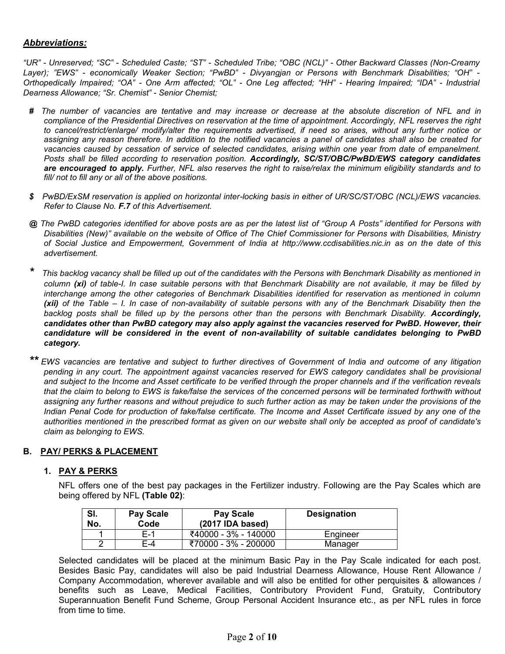### *Abbreviations:*

*"UR" - Unreserved; "SC" - Scheduled Caste; "ST" - Scheduled Tribe; "OBC (NCL)" - Other Backward Classes (Non-Creamy Layer); "EWS" - economically Weaker Section; "PwBD" - Divyangjan or Persons with Benchmark Disabilities; "OH" - Orthopedically Impaired; "OA" - One Arm affected; "OL" - One Leg affected; "HH" - Hearing Impaired; "IDA" - Industrial Dearness Allowance; "Sr. Chemist" - Senior Chemist;* 

- *# The number of vacancies are tentative and may increase or decrease at the absolute discretion of NFL and in compliance of the Presidential Directives on reservation at the time of appointment. Accordingly, NFL reserves the right to cancel/restrict/enlarge/ modify/alter the requirements advertised, if need so arises, without any further notice or assigning any reason therefore. In addition to the notified vacancies a panel of candidates shall also be created for*  vacancies caused by cessation of service of selected candidates, arising within one year from date of empanelment. *Posts shall be filled according to reservation position. Accordingly, SC/ST/OBC/PwBD/EWS category candidates are encouraged to apply. Further, NFL also reserves the right to raise/relax the minimum eligibility standards and to fill/ not to fill any or all of the above positions.*
- *\$ PwBD/ExSM reservation is applied on horizontal inter-locking basis in either of UR/SC/ST/OBC (NCL)/EWS vacancies. Refer to Clause No. F.7 of this Advertisement.*
- *@ The PwBD categories identified for above posts are as per the latest list of "Group A Posts" identified for Persons with Disabilities (New)" available on the website of Office of The Chief Commissioner for Persons with Disabilities, Ministry of Social Justice and Empowerment, Government of India at http://www.ccdisabilities.nic.in as on the date of this advertisement.*
- *\* This backlog vacancy shall be filled up out of the candidates with the Persons with Benchmark Disability as mentioned in column (xi) of table-I. In case suitable persons with that Benchmark Disability are not available, it may be filled by interchange among the other categories of Benchmark Disabilities identified for reservation as mentioned in column (xii) of the Table – I. In case of non-availability of suitable persons with any of the Benchmark Disability then the* backlog posts shall be filled up by the persons other than the persons with Benchmark Disability. Accordingly, *candidates other than PwBD category may also apply against the vacancies reserved for PwBD. However, their candidature will be considered in the event of non-availability of suitable candidates belonging to PwBD category.*

*\*\* EWS vacancies are tentative and subject to further directives of Government of India and outcome of any litigation pending in any court. The appointment against vacancies reserved for EWS category candidates shall be provisional and subject to the Income and Asset certificate to be verified through the proper channels and if the verification reveals that the claim to belong to EWS is fake/false the services of the concerned persons will be terminated forthwith without*  assigning any further reasons and without prejudice to such further action as may be taken under the provisions of the *Indian Penal Code for production of fake/false certificate. The Income and Asset Certificate issued by any one of the authorities mentioned in the prescribed format as given on our website shall only be accepted as proof of candidate's claim as belonging to EWS.*

#### **B. PAY/ PERKS & PLACEMENT**

#### **1. PAY & PERKS**

NFL offers one of the best pay packages in the Fertilizer industry. Following are the Pay Scales which are being offered by NFL **(Table 02)**:

| SI.<br>No. | <b>Pay Scale</b><br>Code | <b>Pay Scale</b><br>(2017 IDA based) | <b>Designation</b> |
|------------|--------------------------|--------------------------------------|--------------------|
|            | F-1                      | ₹40000 - 3% - 140000                 | Engineer           |
|            | E-4                      | ₹70000 - 3% - 200000                 | Manager            |

Selected candidates will be placed at the minimum Basic Pay in the Pay Scale indicated for each post. Besides Basic Pay, candidates will also be paid Industrial Dearness Allowance, House Rent Allowance / Company Accommodation, wherever available and will also be entitled for other perquisites & allowances / benefits such as Leave, Medical Facilities, Contributory Provident Fund, Gratuity, Contributory Superannuation Benefit Fund Scheme, Group Personal Accident Insurance etc., as per NFL rules in force from time to time.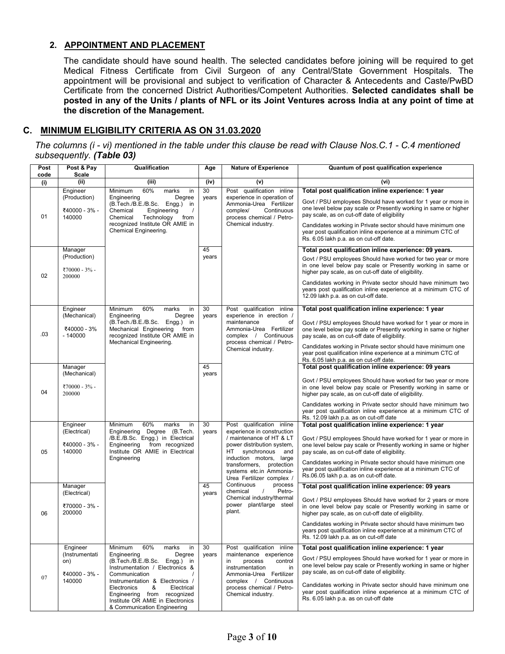## **2. APPOINTMENT AND PLACEMENT**

The candidate should have sound health. The selected candidates before joining will be required to get Medical Fitness Certificate from Civil Surgeon of any Central/State Government Hospitals. The appointment will be provisional and subject to verification of Character & Antecedents and Caste/PwBD Certificate from the concerned District Authorities/Competent Authorities. **Selected candidates shall be posted in any of the Units / plants of NFL or its Joint Ventures across India at any point of time at the discretion of the Management.**

## **C. MINIMUM ELIGIBILITY CRITERIA AS ON 31.03.2020**

*The columns (i - vi) mentioned in the table under this clause be read with Clause Nos.C.1 - C.4 mentioned subsequently. (Table 03)*

| Post<br>code | Post & Pay<br>Scale                                | Qualification                                                                                                                                                                                  | Age         | <b>Nature of Experience</b>                                                                                                        | Quantum of post qualification experience                                                                                                                                                                                                                                                                           |
|--------------|----------------------------------------------------|------------------------------------------------------------------------------------------------------------------------------------------------------------------------------------------------|-------------|------------------------------------------------------------------------------------------------------------------------------------|--------------------------------------------------------------------------------------------------------------------------------------------------------------------------------------------------------------------------------------------------------------------------------------------------------------------|
| (i)          | (iii)                                              | (iii)                                                                                                                                                                                          | (iv)        | (v)                                                                                                                                | (vi)                                                                                                                                                                                                                                                                                                               |
|              | Engineer                                           | 60%<br>marks<br>Minimum<br>in                                                                                                                                                                  | 30          | qualification inline<br>Post                                                                                                       | Total post qualification inline experience: 1 year                                                                                                                                                                                                                                                                 |
| 01           | (Production)<br>₹40000 - 3% -<br>140000            | Engineering<br>Degree<br>(B.Tech./B.E./B.Sc.<br>Engg.) in<br>Chemical<br>Engineering<br>$\prime$<br>Technology<br>Chemical<br>from<br>recognized Institute OR AMIE in<br>Chemical Engineering. | years       | experience in operation of<br>Ammonia-Urea Fertilizer<br>complex/<br>Continuous<br>process chemical / Petro-<br>Chemical industry. | Govt / PSU employees Should have worked for 1 year or more in<br>one level below pay scale or Presently working in same or higher<br>pay scale, as on cut-off date of eligibility<br>Candidates working in Private sector should have minimum one<br>year post qualification inline experience at a minimum CTC of |
|              |                                                    |                                                                                                                                                                                                |             |                                                                                                                                    | Rs. 6.05 lakh p.a. as on cut-off date.                                                                                                                                                                                                                                                                             |
| 02           | Manager<br>(Production)<br>₹70000 - 3% -<br>200000 |                                                                                                                                                                                                | 45<br>years |                                                                                                                                    | Total post qualification inline experience: 09 years.<br>Govt / PSU employees Should have worked for two year or more<br>in one level below pay scale or Presently working in same or<br>higher pay scale, as on cut-off date of eligibility.<br>Candidates working in Private sector should have minimum two      |
|              |                                                    |                                                                                                                                                                                                |             |                                                                                                                                    | years post qualification inline experience at a minimum CTC of<br>12.09 lakh p.a. as on cut-off date.                                                                                                                                                                                                              |
|              | Engineer                                           | 60%<br>Minimum<br>marks<br>in                                                                                                                                                                  | 30          | Post qualification inline                                                                                                          | Total post qualification inline experience: 1 year                                                                                                                                                                                                                                                                 |
| .03          | (Mechanical)<br>₹40000 - 3%<br>$-140000$           | Engineering<br>Degree<br>(B.Tech./B.E./B.Sc. Engg.) in<br>Mechanical Engineering<br>from<br>recognized Institute OR AMIE in<br>Mechanical Engineering.                                         | years       | experience in erection /<br>maintenance<br>of<br>Ammonia-Urea Fertilizer<br>complex / Continuous<br>process chemical / Petro-      | Govt / PSU employees Should have worked for 1 year or more in<br>one level below pay scale or Presently working in same or higher<br>pay scale, as on cut-off date of eligibility.                                                                                                                                 |
|              |                                                    |                                                                                                                                                                                                |             | Chemical industry.                                                                                                                 | Candidates working in Private sector should have minimum one<br>year post qualification inline experience at a minimum CTC of<br>Rs. 6.05 lakh p.a. as on cut-off date.                                                                                                                                            |
|              | Manager<br>(Mechanical)                            |                                                                                                                                                                                                | 45<br>years |                                                                                                                                    | Total post qualification inline experience: 09 years                                                                                                                                                                                                                                                               |
| 04           | ₹70000 - 3% -<br>200000                            |                                                                                                                                                                                                |             |                                                                                                                                    | Govt / PSU employees Should have worked for two year or more<br>in one level below pay scale or Presently working in same or<br>higher pay scale, as on cut-off date of eligibility.                                                                                                                               |
|              |                                                    |                                                                                                                                                                                                |             |                                                                                                                                    | Candidates working in Private sector should have minimum two<br>year post qualification inline experience at a minimum CTC of<br>Rs. 12.09 lakh p.a. as on cut-off date                                                                                                                                            |
|              | Engineer<br>(Electrical)                           | 60%<br>marks<br>in<br>Minimum<br>Engineering Degree (B.Tech.                                                                                                                                   | 30<br>years | Post qualification inline<br>experience in construction                                                                            | Total post qualification inline experience: 1 year                                                                                                                                                                                                                                                                 |
| 05           | ₹40000 - 3% -<br>140000                            | /B.E./B.Sc. Engg.) in Electrical<br>from recognized<br>Engineering<br>Institute OR AMIE in Electrical                                                                                          |             | / maintenance of HT & LT<br>power distribution system,<br>HT<br>synchronous<br>and<br>induction motors,                            | Govt / PSU employees Should have worked for 1 year or more in<br>one level below pay scale or Presently working in same or higher<br>pay scale, as on cut-off date of eligibility.                                                                                                                                 |
|              |                                                    | Engineering                                                                                                                                                                                    |             | large<br>transformers, protection<br>systems etc.in Ammonia-<br>Urea Fertilizer complex /                                          | Candidates working in Private sector should have minimum one<br>year post qualification inline experience at a minimum CTC of<br>Rs.06.05 lakh p.a. as on cut-off date.                                                                                                                                            |
|              | Manager<br>(Electrical)                            |                                                                                                                                                                                                | 45<br>years | Continuous<br>process<br>Petro-<br>chemical<br>$\prime$                                                                            | Total post qualification inline experience: 09 years                                                                                                                                                                                                                                                               |
| 06           | ₹70000 - 3% -<br>200000                            |                                                                                                                                                                                                |             | Chemical industry/thermal<br>power plant/large steel<br>plant.                                                                     | Govt / PSU employees Should have worked for 2 years or more<br>in one level below pay scale or Presently working in same or<br>higher pay scale, as on cut-off date of eligibility.                                                                                                                                |
|              |                                                    |                                                                                                                                                                                                |             |                                                                                                                                    | Candidates working in Private sector should have minimum two<br>years post qualification inline experience at a minimum CTC of<br>Rs. 12.09 lakh p.a. as on cut-off date                                                                                                                                           |
|              | Engineer<br>(Instrumentati                         | 60%<br>Minimum<br>marks<br>in<br>Engineering<br>Degree                                                                                                                                         | 30<br>years | Post<br>qualification inline<br>maintenance experience                                                                             | Total post qualification inline experience: 1 year                                                                                                                                                                                                                                                                 |
| 07           | on)<br>₹40000 - 3% -                               | (B.Tech./B.E./B.Sc. Engg.) in<br>Instrumentation / Electronics &<br>Communication                                                                                                              |             | process<br>in<br>control<br>instrumentation<br>in<br>Ammonia-Urea Fertilizer                                                       | Govt / PSU employees Should have worked for 1 year or more in<br>one level below pay scale or Presently working in same or higher<br>pay scale, as on cut-off date of eligibility.                                                                                                                                 |
|              | 140000                                             | Instrumentation & Electronics /<br>&<br>Electronics<br>Electrical<br>Engineering from recognized<br>Institute OR AMIE in Electronics<br>& Communication Engineering                            |             | complex / Continuous<br>process chemical / Petro-<br>Chemical industry.                                                            | Candidates working in Private sector should have minimum one<br>year post qualification inline experience at a minimum CTC of<br>Rs. 6.05 lakh p.a. as on cut-off date                                                                                                                                             |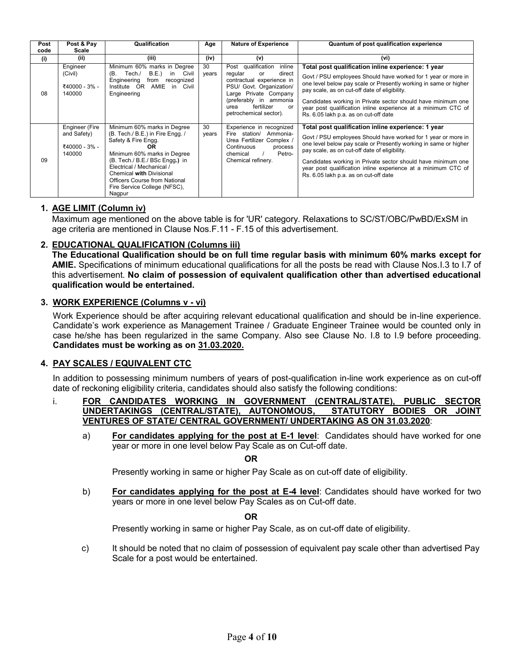| Post | Post & Pay                                               | Qualification                                                                                                                                                                                                                                                                                                   | Age         | <b>Nature of Experience</b>                                                                                                                                                                                               | Quantum of post qualification experience                                                                                                                                                                                                                                                                                                                                                                           |
|------|----------------------------------------------------------|-----------------------------------------------------------------------------------------------------------------------------------------------------------------------------------------------------------------------------------------------------------------------------------------------------------------|-------------|---------------------------------------------------------------------------------------------------------------------------------------------------------------------------------------------------------------------------|--------------------------------------------------------------------------------------------------------------------------------------------------------------------------------------------------------------------------------------------------------------------------------------------------------------------------------------------------------------------------------------------------------------------|
| code | Scale                                                    |                                                                                                                                                                                                                                                                                                                 |             |                                                                                                                                                                                                                           |                                                                                                                                                                                                                                                                                                                                                                                                                    |
| (i)  | (iii)                                                    | (iii)                                                                                                                                                                                                                                                                                                           | (iv)        | (v)                                                                                                                                                                                                                       | (vi)                                                                                                                                                                                                                                                                                                                                                                                                               |
| 08   | Engineer<br>(Civil)<br>₹40000 - 3% -<br>140000           | Minimum 60% marks in Degree<br>B.E.<br>Tech./<br>in<br>Civil<br>(B.<br>Engineering<br>from<br>recognized<br>AMIE in Civil<br>Institute OR<br>Engineering                                                                                                                                                        | 30<br>years | Post qualification<br>inline<br>direct<br>regular<br>or<br>contractual experience in<br>PSU/ Govt. Organization/<br>Large Private Company<br>(preferably in ammonia<br>fertilizer<br>urea<br>or<br>petrochemical sector). | Total post qualification inline experience: 1 year<br>Govt / PSU employees Should have worked for 1 year or more in<br>one level below pay scale or Presently working in same or higher<br>pay scale, as on cut-off date of eligibility.<br>Candidates working in Private sector should have minimum one<br>year post qualification inline experience at a minimum CTC of<br>Rs. 6.05 lakh p.a. as on cut-off date |
| 09   | Engineer (Fire<br>and Safety)<br>₹40000 - 3% -<br>140000 | Minimum 60% marks in Degree<br>(B. Tech./ B.E.) in Fire Engg. /<br>Safety & Fire Engg.<br><b>OR</b><br>Minimum 60% marks in Degree<br>(B. Tech./ B.E./ BSc Engg.) in<br>Electrical / Mechanical /<br>Chemical with Divisional<br><b>Officers Course from National</b><br>Fire Service College (NFSC),<br>Nagpur | 30<br>years | Experience in recognized<br>Fire station/ Ammonia-<br>Urea Fertilizer Complex /<br>Continuous<br>process<br>Petro-<br>chemical<br>Chemical refinery.                                                                      | Total post qualification inline experience: 1 year<br>Govt / PSU employees Should have worked for 1 year or more in<br>one level below pay scale or Presently working in same or higher<br>pay scale, as on cut-off date of eligibility.<br>Candidates working in Private sector should have minimum one<br>year post qualification inline experience at a minimum CTC of<br>Rs. 6.05 lakh p.a. as on cut-off date |

### **1. AGE LIMIT (Column iv)**

Maximum age mentioned on the above table is for 'UR' category. Relaxations to SC/ST/OBC/PwBD/ExSM in age criteria are mentioned in Clause Nos.F.11 - F.15 of this advertisement.

### **2. EDUCATIONAL QUALIFICATION (Columns iii)**

**The Educational Qualification should be on full time regular basis with minimum 60% marks except for AMIE.** Specifications of minimum educational qualifications for all the posts be read with Clause Nos.I.3 to I.7 of this advertisement. **No claim of possession of equivalent qualification other than advertised educational qualification would be entertained.**

#### **3. WORK EXPERIENCE (Columns v - vi)**

Work Experience should be after acquiring relevant educational qualification and should be in-line experience. Candidate"s work experience as Management Trainee / Graduate Engineer Trainee would be counted only in case he/she has been regularized in the same Company. Also see Clause No. I.8 to I.9 before proceeding. **Candidates must be working as on 31.03.2020.**

#### **4. PAY SCALES / EQUIVALENT CTC**

In addition to possessing minimum numbers of years of post-qualification in-line work experience as on cut-off date of reckoning eligibility criteria, candidates should also satisfy the following conditions:

- i. **FOR CANDIDATES WORKING IN GOVERNMENT (CENTRAL/STATE), PUBLIC SECTOR UNDERTAKINGS (CENTRAL/STATE), AUTONOMOUS, STATUTORY BODIES OR JOINT VENTURES OF STATE/ CENTRAL GOVERNMENT/ UNDERTAKING AS ON 31.03.2020**:
	- a) **For candidates applying for the post at E-1 level**: Candidates should have worked for one year or more in one level below Pay Scale as on Cut-off date.

 **OR**

Presently working in same or higher Pay Scale as on cut-off date of eligibility.

b) **For candidates applying for the post at E-4 level**: Candidates should have worked for two years or more in one level below Pay Scales as on Cut-off date.

 **OR**

Presently working in same or higher Pay Scale, as on cut-off date of eligibility.

c) It should be noted that no claim of possession of equivalent pay scale other than advertised Pay Scale for a post would be entertained.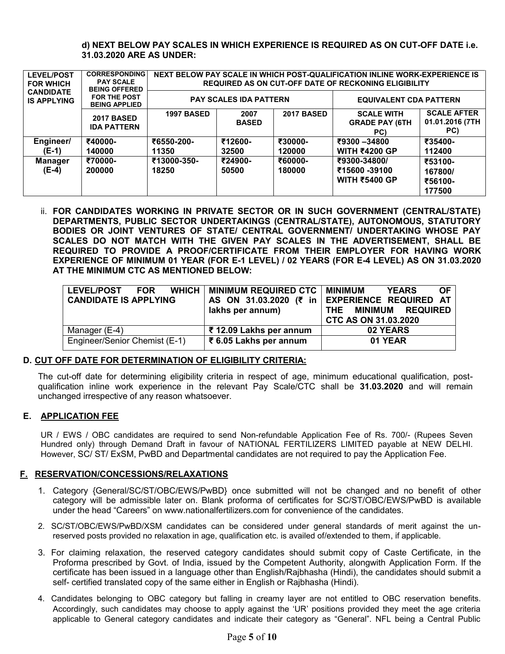#### **d) NEXT BELOW PAY SCALES IN WHICH EXPERIENCE IS REQUIRED AS ON CUT-OFF DATE i.e. 31.03.2020 ARE AS UNDER:**

| <b>LEVEL/POST</b><br><b>FOR WHICH</b>  | <b>CORRESPONDING</b><br><b>PAY SCALE</b><br><b>BEING OFFERED</b><br><b>FOR THE POST</b><br><b>BEING APPLIED</b> | NEXT BELOW PAY SCALE IN WHICH POST-QUALIFICATION INLINE WORK-EXPERIENCE IS<br><b>REQUIRED AS ON CUT-OFF DATE OF RECKONING ELIGIBILITY</b> |                               |                               |                                                   |                                              |  |  |
|----------------------------------------|-----------------------------------------------------------------------------------------------------------------|-------------------------------------------------------------------------------------------------------------------------------------------|-------------------------------|-------------------------------|---------------------------------------------------|----------------------------------------------|--|--|
| <b>CANDIDATE</b><br><b>IS APPLYING</b> |                                                                                                                 |                                                                                                                                           | <b>PAY SCALES IDA PATTERN</b> | <b>EQUIVALENT CDA PATTERN</b> |                                                   |                                              |  |  |
|                                        | <b>2017 BASED</b><br><b>IDA PATTERN</b>                                                                         | <b>1997 BASED</b>                                                                                                                         | 2007<br><b>BASED</b>          | <b>2017 BASED</b>             | <b>SCALE WITH</b><br><b>GRADE PAY (6TH</b><br>PC) | <b>SCALE AFTER</b><br>01.01.2016 (7TH<br>PC) |  |  |
| Engineer/                              | ₹40000-                                                                                                         | ₹6550-200-                                                                                                                                | ₹12600-                       | ₹30000-                       | ₹9300 -34800                                      | ₹35400-                                      |  |  |
| (E-1)                                  | 140000                                                                                                          | 11350                                                                                                                                     | 32500                         | 120000                        | <b>WITH ₹4200 GP</b>                              | 112400                                       |  |  |
| Manager                                | ₹70000-                                                                                                         | ₹13000-350-                                                                                                                               | ₹24900-                       | ₹60000-                       | ₹9300-34800/                                      | ₹53100-                                      |  |  |
| (E-4)                                  | 200000                                                                                                          | 18250                                                                                                                                     | 50500                         | 180000                        | ₹15600 -39100                                     | 167800/                                      |  |  |
|                                        |                                                                                                                 |                                                                                                                                           |                               |                               | <b>WITH ₹5400 GP</b>                              | ₹56100-                                      |  |  |
|                                        |                                                                                                                 |                                                                                                                                           |                               |                               |                                                   | 177500                                       |  |  |

ii. **FOR CANDIDATES WORKING IN PRIVATE SECTOR OR IN SUCH GOVERNMENT (CENTRAL/STATE) DEPARTMENTS, PUBLIC SECTOR UNDERTAKINGS (CENTRAL/STATE), AUTONOMOUS, STATUTORY BODIES OR JOINT VENTURES OF STATE/ CENTRAL GOVERNMENT/ UNDERTAKING WHOSE PAY SCALES DO NOT MATCH WITH THE GIVEN PAY SCALES IN THE ADVERTISEMENT, SHALL BE REQUIRED TO PROVIDE A PROOF/CERTIFICATE FROM THEIR EMPLOYER FOR HAVING WORK EXPERIENCE OF MINIMUM 01 YEAR (FOR E-1 LEVEL) / 02 YEARS (FOR E-4 LEVEL) AS ON 31.03.2020 AT THE MINIMUM CTC AS MENTIONED BELOW:** 

| LEVEL/POST FOR<br><b>CANDIDATE IS APPLYING</b> | WHICH   MINIMUM REQUIRED CTC   MINIMUM<br>lakhs per annum) | <b>OF</b><br><b>YEARS</b><br>AS ON 31.03.2020 (₹ in EXPERIENCE REQUIRED AT<br>THE MINIMUM REQUIRED<br><b>CTC AS ON 31.03.2020</b> |
|------------------------------------------------|------------------------------------------------------------|-----------------------------------------------------------------------------------------------------------------------------------|
| Manager (E-4)                                  | ₹ 12.09 Lakhs per annum                                    | 02 YEARS                                                                                                                          |
| Engineer/Senior Chemist (E-1)                  | ₹6.05 Lakhs per annum                                      | 01 YEAR                                                                                                                           |

#### **D. CUT OFF DATE FOR DETERMINATION OF ELIGIBILITY CRITERIA:**

The cut-off date for determining eligibility criteria in respect of age, minimum educational qualification, postqualification inline work experience in the relevant Pay Scale/CTC shall be **31.03.2020** and will remain unchanged irrespective of any reason whatsoever.

#### **E. APPLICATION FEE**

UR / EWS / OBC candidates are required to send Non-refundable Application Fee of Rs. 700/- (Rupees Seven Hundred only) through Demand Draft in favour of NATIONAL FERTILIZERS LIMITED payable at NEW DELHI. However, SC/ ST/ ExSM, PwBD and Departmental candidates are not required to pay the Application Fee.

#### **F. RESERVATION/CONCESSIONS/RELAXATIONS**

- 1. Category {General/SC/ST/OBC/EWS/PwBD} once submitted will not be changed and no benefit of other category will be admissible later on. Blank proforma of certificates for SC/ST/OBC/EWS/PwBD is available under the head "Careers" on www.nationalfertilizers.com for convenience of the candidates.
- 2. SC/ST/OBC/EWS/PwBD/XSM candidates can be considered under general standards of merit against the unreserved posts provided no relaxation in age, qualification etc. is availed of/extended to them, if applicable.
- 3. For claiming relaxation, the reserved category candidates should submit copy of Caste Certificate, in the Proforma prescribed by Govt. of India, issued by the Competent Authority, alongwith Application Form. If the certificate has been issued in a language other than English/Rajbhasha (Hindi), the candidates should submit a self- certified translated copy of the same either in English or Rajbhasha (Hindi).
- 4. Candidates belonging to OBC category but falling in creamy layer are not entitled to OBC reservation benefits. Accordingly, such candidates may choose to apply against the "UR" positions provided they meet the age criteria applicable to General category candidates and indicate their category as "General". NFL being a Central Public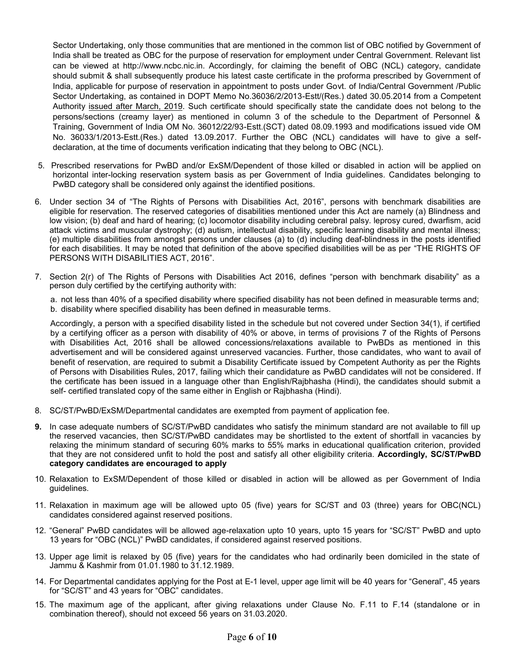Sector Undertaking, only those communities that are mentioned in the common list of OBC notified by Government of India shall be treated as OBC for the purpose of reservation for employment under Central Government. Relevant list can be viewed at http://www.ncbc.nic.in. Accordingly, for claiming the benefit of OBC (NCL) category, candidate should submit & shall subsequently produce his latest caste certificate in the proforma prescribed by Government of India, applicable for purpose of reservation in appointment to posts under Govt. of India/Central Government /Public Sector Undertaking, as contained in DOPT Memo No.36036/2/2013-Estt/(Res.) dated 30.05.2014 from a Competent Authority issued after March, 2019. Such certificate should specifically state the candidate does not belong to the persons/sections (creamy layer) as mentioned in column 3 of the schedule to the Department of Personnel & Training, Government of India OM No. 36012/22/93-Estt.(SCT) dated 08.09.1993 and modifications issued vide OM No. 36033/1/2013-Estt.(Res.) dated 13.09.2017. Further the OBC (NCL) candidates will have to give a selfdeclaration, at the time of documents verification indicating that they belong to OBC (NCL).

- 5. Prescribed reservations for PwBD and/or ExSM/Dependent of those killed or disabled in action will be applied on horizontal inter-locking reservation system basis as per Government of India guidelines. Candidates belonging to PwBD category shall be considered only against the identified positions.
- 6. Under section 34 of "The Rights of Persons with Disabilities Act, 2016", persons with benchmark disabilities are eligible for reservation. The reserved categories of disabilities mentioned under this Act are namely (a) Blindness and low vision; (b) deaf and hard of hearing; (c) locomotor disability including cerebral palsy. leprosy cured, dwarfism, acid attack victims and muscular dystrophy; (d) autism, intellectual disability, specific learning disability and mental illness; (e) multiple disabilities from amongst persons under clauses (a) to (d) including deaf-blindness in the posts identified for each disabilities. It may be noted that definition of the above specified disabilities will be as per "THE RIGHTS OF PERSONS WITH DISABILITIES ACT, 2016".
- 7. Section 2(r) of The Rights of Persons with Disabilities Act 2016, defines "person with benchmark disability" as a person duly certified by the certifying authority with:

a. not less than 40% of a specified disability where specified disability has not been defined in measurable terms and; b. disability where specified disability has been defined in measurable terms.

Accordingly, a person with a specified disability listed in the schedule but not covered under Section 34(1), if certified by a certifying officer as a person with disability of 40% or above, in terms of provisions 7 of the Rights of Persons with Disabilities Act, 2016 shall be allowed concessions/relaxations available to PwBDs as mentioned in this advertisement and will be considered against unreserved vacancies. Further, those candidates, who want to avail of benefit of reservation, are required to submit a Disability Certificate issued by Competent Authority as per the Rights of Persons with Disabilities Rules, 2017, failing which their candidature as PwBD candidates will not be considered. If the certificate has been issued in a language other than English/Rajbhasha (Hindi), the candidates should submit a self- certified translated copy of the same either in English or Rajbhasha (Hindi).

- 8. SC/ST/PwBD/ExSM/Departmental candidates are exempted from payment of application fee.
- **9.** In case adequate numbers of SC/ST/PwBD candidates who satisfy the minimum standard are not available to fill up the reserved vacancies, then SC/ST/PwBD candidates may be shortlisted to the extent of shortfall in vacancies by relaxing the minimum standard of securing 60% marks to 55% marks in educational qualification criterion, provided that they are not considered unfit to hold the post and satisfy all other eligibility criteria. **Accordingly, SC/ST/PwBD category candidates are encouraged to apply**
- 10. Relaxation to ExSM/Dependent of those killed or disabled in action will be allowed as per Government of India guidelines.
- 11. Relaxation in maximum age will be allowed upto 05 (five) years for SC/ST and 03 (three) years for OBC(NCL) candidates considered against reserved positions.
- 12. "General" PwBD candidates will be allowed age-relaxation upto 10 years, upto 15 years for "SC/ST" PwBD and upto 13 years for "OBC (NCL)" PwBD candidates, if considered against reserved positions.
- 13. Upper age limit is relaxed by 05 (five) years for the candidates who had ordinarily been domiciled in the state of Jammu & Kashmir from 01.01.1980 to 31.12.1989.
- 14. For Departmental candidates applying for the Post at E-1 level, upper age limit will be 40 years for "General", 45 years for "SC/ST" and 43 years for "OBC" candidates.
- 15. The maximum age of the applicant, after giving relaxations under Clause No. F.11 to F.14 (standalone or in combination thereof), should not exceed 56 years on 31.03.2020.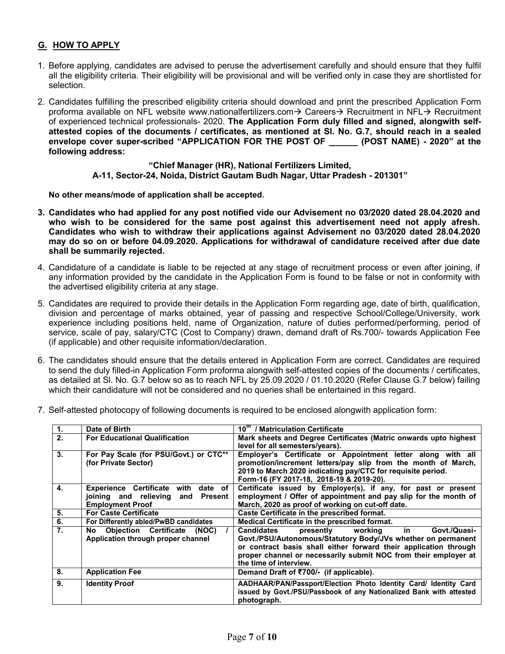# **G. HOW TO APPLY**

- 1. Before applying, candidates are advised to peruse the advertisement carefully and should ensure that they fulfil all the eligibility criteria. Their eligibility will be provisional and will be verified only in case they are shortlisted for selection.
- 2. Candidates fulfilling the prescribed eligibility criteria should download and print the prescribed Application Form proforma available on NFL website www.nationalfertilizers.com $\rightarrow$  Careers $\rightarrow$  Recruitment in NFL $\rightarrow$  Recruitment of experienced technical professionals- 2020. **The Application Form duly filled and signed, alongwith selfattested copies of the documents / certificates, as mentioned at Sl. No. G.7, should reach in a sealed envelope cover super-scribed "APPLICATION FOR THE POST OF \_\_\_\_\_\_ (POST NAME) - 2020" at the following address:**

**"Chief Manager (HR), National Fertilizers Limited, A-11, Sector-24, Noida, District Gautam Budh Nagar, Uttar Pradesh - 201301"**

**No other means/mode of application shall be accepted.**

- **3. Candidates who had applied for any post notified vide our Advisement no 03/2020 dated 28.04.2020 and who wish to be considered for the same post against this advertisement need not apply afresh. Candidates who wish to withdraw their applications against Advisement no 03/2020 dated 28.04.2020 may do so on or before 04.09.2020. Applications for withdrawal of candidature received after due date shall be summarily rejected.**
- 4. Candidature of a candidate is liable to be rejected at any stage of recruitment process or even after joining, if any information provided by the candidate in the Application Form is found to be false or not in conformity with the advertised eligibility criteria at any stage.
- 5. Candidates are required to provide their details in the Application Form regarding age, date of birth, qualification, division and percentage of marks obtained, year of passing and respective School/College/University, work experience including positions held, name of Organization, nature of duties performed/performing, period of service, scale of pay, salary/CTC (Cost to Company) drawn, demand draft of Rs.700/- towards Application Fee (if applicable) and other requisite information/declaration.
- 6. The candidates should ensure that the details entered in Application Form are correct. Candidates are required to send the duly filled-in Application Form proforma alongwith self-attested copies of the documents / certificates, as detailed at Sl. No. G.7 below so as to reach NFL by 25.09.2020 / 01.10.2020 (Refer Clause G.7 below) failing which their candidature will not be considered and no queries shall be entertained in this regard.
- 7. Self-attested photocopy of following documents is required to be enclosed alongwith application form:

| $\overline{1}$ . | Date of Birth                                 | 10 <sup>th</sup> / Matriculation Certificate                        |
|------------------|-----------------------------------------------|---------------------------------------------------------------------|
| 2.               | <b>For Educational Qualification</b>          | Mark sheets and Degree Certificates (Matric onwards upto highest    |
|                  |                                               | level for all semesters/years).                                     |
| 3.               | For Pay Scale (for PSU/Govt.) or CTC**        | Employer's Certificate or Appointment letter along with all         |
|                  | (for Private Sector)                          | promotion/increment letters/pay slip from the month of March,       |
|                  |                                               | 2019 to March 2020 indicating pay/CTC for requisite period.         |
|                  |                                               | Form-16 (FY 2017-18, 2018-19 & 2019-20).                            |
| 4.               | <b>Experience Certificate with</b><br>date of | Certificate issued by Employer(s), if any, for past or present      |
|                  | joining and relieving and<br><b>Present</b>   | employment / Offer of appointment and pay slip for the month of     |
|                  | <b>Employment Proof</b>                       | March, 2020 as proof of working on cut-off date.                    |
| 5.               | <b>For Caste Certificate</b>                  | Caste Certificate in the prescribed format.                         |
| 6.               | For Differently abled/PwBD candidates         | Medical Certificate in the prescribed format.                       |
| 7.               | No Objection Certificate<br>(NOC)             | Govt./Quasi-<br><b>Candidates</b><br>presently<br>workina<br>in.    |
|                  | Application through proper channel            | Govt./PSU/Autonomous/Statutory Body/JVs whether on permanent        |
|                  |                                               | or contract basis shall either forward their application through    |
|                  |                                               | proper channel or necessarily submit NOC from their employer at     |
|                  |                                               | the time of interview.                                              |
| 8.               | <b>Application Fee</b>                        | Demand Draft of ₹700/- (if applicable).                             |
|                  |                                               |                                                                     |
| 9.               | <b>Identity Proof</b>                         | AADHAAR/PAN/Passport/Election Photo Identity Card/ Identity Card    |
|                  |                                               | issued by Govt./PSU/Passbook of any Nationalized Bank with attested |
|                  |                                               | photograph.                                                         |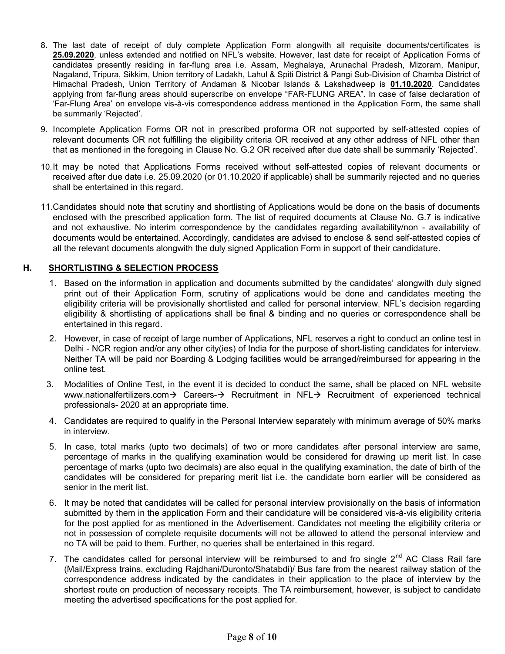- 8. The last date of receipt of duly complete Application Form alongwith all requisite documents/certificates is **25.09.2020**, unless extended and notified on NFL"s website. However, last date for receipt of Application Forms of candidates presently residing in far-flung area i.e. Assam, Meghalaya, Arunachal Pradesh, Mizoram, Manipur, Nagaland, Tripura, Sikkim, Union territory of Ladakh, Lahul & Spiti District & Pangi Sub-Division of Chamba District of Himachal Pradesh, Union Territory of Andaman & Nicobar Islands & Lakshadweep is **01.10.2020**. Candidates applying from far-flung areas should superscribe on envelope "FAR-FLUNG AREA". In case of false declaration of "Far-Flung Area" on envelope vis-à-vis correspondence address mentioned in the Application Form, the same shall be summarily 'Rejected'.
- 9. Incomplete Application Forms OR not in prescribed proforma OR not supported by self-attested copies of relevant documents OR not fulfilling the eligibility criteria OR received at any other address of NFL other than that as mentioned in the foregoing in Clause No. G.2 OR received after due date shall be summarily "Rejected".
- 10.It may be noted that Applications Forms received without self-attested copies of relevant documents or received after due date i.e. 25.09.2020 (or 01.10.2020 if applicable) shall be summarily rejected and no queries shall be entertained in this regard.
- 11.Candidates should note that scrutiny and shortlisting of Applications would be done on the basis of documents enclosed with the prescribed application form. The list of required documents at Clause No. G.7 is indicative and not exhaustive. No interim correspondence by the candidates regarding availability/non - availability of documents would be entertained. Accordingly, candidates are advised to enclose & send self-attested copies of all the relevant documents alongwith the duly signed Application Form in support of their candidature.

### **H. SHORTLISTING & SELECTION PROCESS**

- 1. Based on the information in application and documents submitted by the candidates" alongwith duly signed print out of their Application Form, scrutiny of applications would be done and candidates meeting the eligibility criteria will be provisionally shortlisted and called for personal interview. NFL"s decision regarding eligibility & shortlisting of applications shall be final & binding and no queries or correspondence shall be entertained in this regard.
- 2. However, in case of receipt of large number of Applications, NFL reserves a right to conduct an online test in Delhi - NCR region and/or any other city(ies) of India for the purpose of short-listing candidates for interview. Neither TA will be paid nor Boarding & Lodging facilities would be arranged/reimbursed for appearing in the online test.
- 3. Modalities of Online Test, in the event it is decided to conduct the same, shall be placed on NFL website www.nationalfertilizers.com  $\rightarrow$  Careers- $\rightarrow$  Recruitment in NFL $\rightarrow$  Recruitment of experienced technical professionals- 2020 at an appropriate time.
- 4. Candidates are required to qualify in the Personal Interview separately with minimum average of 50% marks in interview.
- 5. In case, total marks (upto two decimals) of two or more candidates after personal interview are same, percentage of marks in the qualifying examination would be considered for drawing up merit list. In case percentage of marks (upto two decimals) are also equal in the qualifying examination, the date of birth of the candidates will be considered for preparing merit list i.e. the candidate born earlier will be considered as senior in the merit list.
- 6. It may be noted that candidates will be called for personal interview provisionally on the basis of information submitted by them in the application Form and their candidature will be considered vis-à-vis eligibility criteria for the post applied for as mentioned in the Advertisement. Candidates not meeting the eligibility criteria or not in possession of complete requisite documents will not be allowed to attend the personal interview and no TA will be paid to them. Further, no queries shall be entertained in this regard.
- 7. The candidates called for personal interview will be reimbursed to and fro single  $2^{nd}$  AC Class Rail fare (Mail/Express trains, excluding Rajdhani/Duronto/Shatabdi)/ Bus fare from the nearest railway station of the correspondence address indicated by the candidates in their application to the place of interview by the shortest route on production of necessary receipts. The TA reimbursement, however, is subject to candidate meeting the advertised specifications for the post applied for.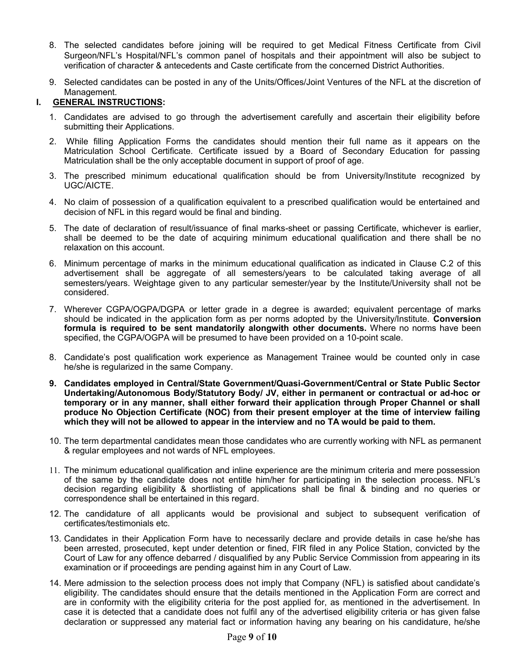- 8. The selected candidates before joining will be required to get Medical Fitness Certificate from Civil Surgeon/NFL"s Hospital/NFL"s common panel of hospitals and their appointment will also be subject to verification of character & antecedents and Caste certificate from the concerned District Authorities.
- 9. Selected candidates can be posted in any of the Units/Offices/Joint Ventures of the NFL at the discretion of Management.

## **I. GENERAL INSTRUCTIONS:**

- 1. Candidates are advised to go through the advertisement carefully and ascertain their eligibility before submitting their Applications.
- 2. While filling Application Forms the candidates should mention their full name as it appears on the Matriculation School Certificate. Certificate issued by a Board of Secondary Education for passing Matriculation shall be the only acceptable document in support of proof of age.
- 3. The prescribed minimum educational qualification should be from University/Institute recognized by UGC/AICTE.
- 4. No claim of possession of a qualification equivalent to a prescribed qualification would be entertained and decision of NFL in this regard would be final and binding.
- 5. The date of declaration of result/issuance of final marks-sheet or passing Certificate, whichever is earlier, shall be deemed to be the date of acquiring minimum educational qualification and there shall be no relaxation on this account.
- 6. Minimum percentage of marks in the minimum educational qualification as indicated in Clause C.2 of this advertisement shall be aggregate of all semesters/years to be calculated taking average of all semesters/years. Weightage given to any particular semester/year by the Institute/University shall not be considered.
- 7. Wherever CGPA/OGPA/DGPA or letter grade in a degree is awarded; equivalent percentage of marks should be indicated in the application form as per norms adopted by the University/Institute. **Conversion formula is required to be sent mandatorily alongwith other documents.** Where no norms have been specified, the CGPA/OGPA will be presumed to have been provided on a 10-point scale.
- 8. Candidate"s post qualification work experience as Management Trainee would be counted only in case he/she is regularized in the same Company.
- **9. Candidates employed in Central/State Government/Quasi-Government/Central or State Public Sector Undertaking/Autonomous Body/Statutory Body/ JV, either in permanent or contractual or ad-hoc or temporary or in any manner, shall either forward their application through Proper Channel or shall produce No Objection Certificate (NOC) from their present employer at the time of interview failing which they will not be allowed to appear in the interview and no TA would be paid to them.**
- 10. The term departmental candidates mean those candidates who are currently working with NFL as permanent & regular employees and not wards of NFL employees.
- 11. The minimum educational qualification and inline experience are the minimum criteria and mere possession of the same by the candidate does not entitle him/her for participating in the selection process. NFL"s decision regarding eligibility & shortlisting of applications shall be final & binding and no queries or correspondence shall be entertained in this regard.
- 12. The candidature of all applicants would be provisional and subject to subsequent verification of certificates/testimonials etc.
- 13. Candidates in their Application Form have to necessarily declare and provide details in case he/she has been arrested, prosecuted, kept under detention or fined, FIR filed in any Police Station, convicted by the Court of Law for any offence debarred / disqualified by any Public Service Commission from appearing in its examination or if proceedings are pending against him in any Court of Law.
- 14. Mere admission to the selection process does not imply that Company (NFL) is satisfied about candidate"s eligibility. The candidates should ensure that the details mentioned in the Application Form are correct and are in conformity with the eligibility criteria for the post applied for, as mentioned in the advertisement. In case it is detected that a candidate does not fulfil any of the advertised eligibility criteria or has given false declaration or suppressed any material fact or information having any bearing on his candidature, he/she